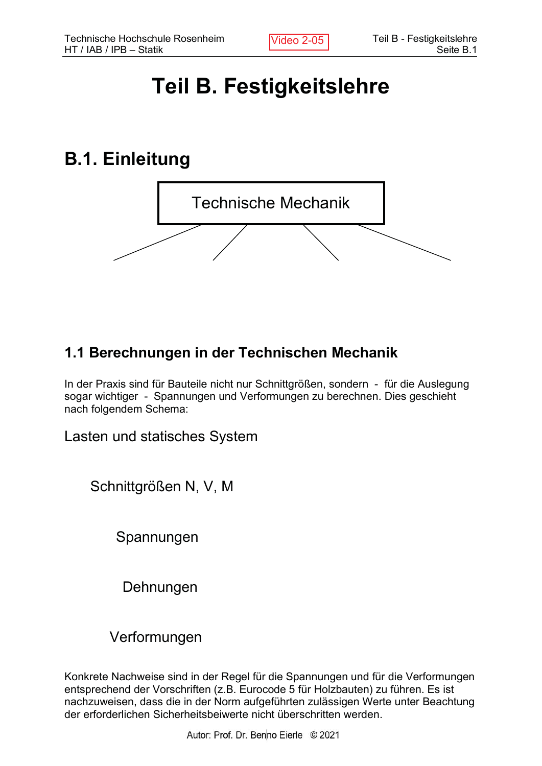# **Teil B. Festigkeitslehre**

# **B.1. Einleitung**



# **1.1 Berechnungen in der Technischen Mechanik**

In der Praxis sind für Bauteile nicht nur Schnittgrößen, sondern - für die Auslegung sogar wichtiger - Spannungen und Verformungen zu berechnen. Dies geschieht nach folgendem Schema:

Lasten und statisches System

Schnittgrößen N, V, M

Spannungen

Dehnungen

Verformungen

Konkrete Nachweise sind in der Regel für die Spannungen und für die Verformungen entsprechend der Vorschriften (z.B. Eurocode 5 für Holzbauten) zu führen. Es ist nachzuweisen, dass die in der Norm aufgeführten zulässigen Werte unter Beachtung der erforderlichen Sicherheitsbeiwerte nicht überschritten werden.

*<u>Autor Autor Autor Autor Autor Autor Autor Autor Autor Autor Autor Autor Autor Autor Autor Autor Autor Autor</u>*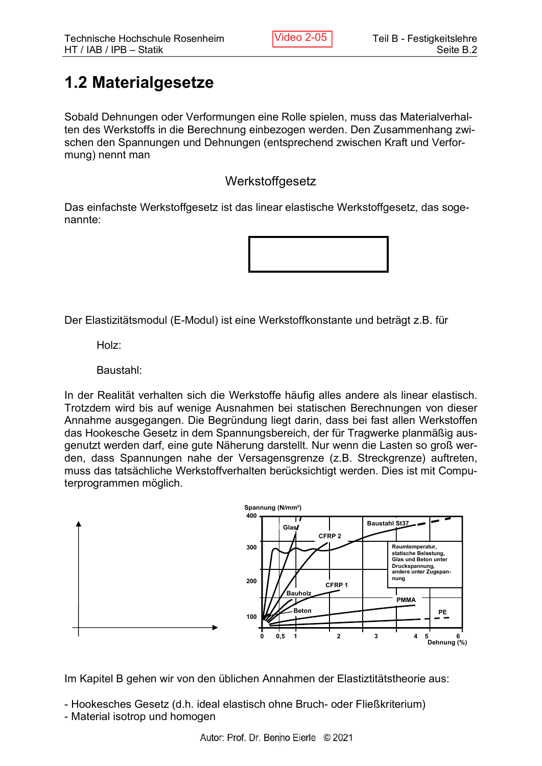# **1.2 Materialgesetze**

Sobald Dehnungen oder Verformungen eine Rolle spielen, muss das Materialverhalten des Werkstoffs in die Berechnung einbezogen werden. Den Zusammenhang zwischen den Spannungen und Dehnungen (entsprechend zwischen Kraft und Verformung) nennt man

#### Werkstoffgesetz

Das einfachste Werkstoffgesetz ist das linear elastische Werkstoffgesetz, das sogenannte:



Der Elastizitätsmodul (E-Modul) ist eine Werkstoffkonstante und beträgt z.B. für

Holz:

Baustahl:

In der Realität verhalten sich die Werkstoffe häufig alles andere als linear elastisch. Trotzdem wird bis auf wenige Ausnahmen bei statischen Berechnungen von dieser Annahme ausgegangen. Die Begründung liegt darin, dass bei fast allen Werkstoffen das Hookesche Gesetz in dem Spannungsbereich, der für Tragwerke planmäßig ausgenutzt werden darf, eine gute Näherung darstellt. Nur wenn die Lasten so groß werden, dass Spannungen nahe der Versagensgrenze (z.B. Streckgrenze) auftreten, muss das tatsächliche Werkstoffverhalten berücksichtigt werden. Dies ist mit Computerprogrammen möglich.



Im Kapitel B gehen wir von den üblichen Annahmen der Elastiztitätstheorie aus:

- Hookesches Gesetz (d.h. ideal elastisch ohne Bruch- oder Fließkriterium)
- Material isotrop und homogen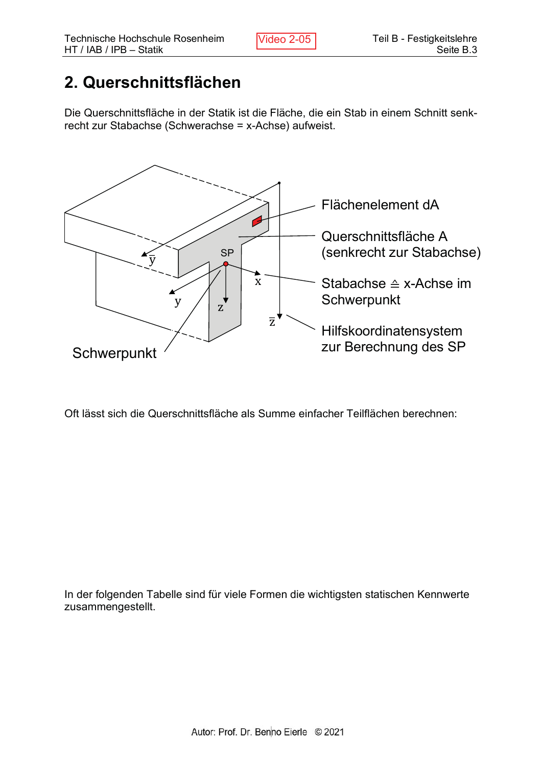# 2. Querschnittsflächen

Die Querschnittsfläche in der Statik ist die Fläche, die ein Stab in einem Schnitt senkrecht zur Stabachse (Schwerachse = x-Achse) aufweist.



Oft lässt sich die Querschnittsfläche als Summe einfacher Teilflächen berechnen:

In der folgenden Tabelle sind für viele Formen die wichtigsten statischen Kennwerte zusammengestellt.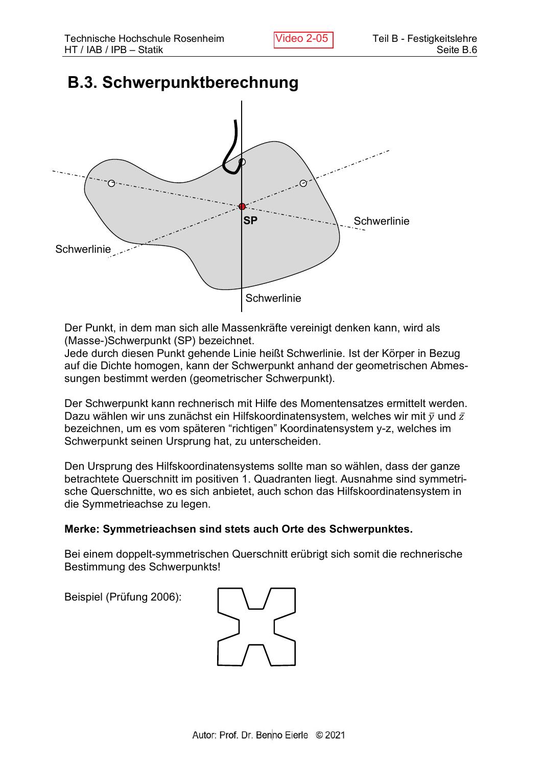### **B.3. Schwerpunktberechnung**



Der Punkt, in dem man sich alle Massenkräfte vereinigt denken kann, wird als (Masse-)Schwerpunkt (SP) bezeichnet.

Jede durch diesen Punkt gehende Linie heißt Schwerlinie. Ist der Körper in Bezug auf die Dichte homogen, kann der Schwerpunkt anhand der geometrischen Abmessungen bestimmt werden (geometrischer Schwerpunkt).

Der Schwerpunkt kann rechnerisch mit Hilfe des Momentensatzes ermittelt werden. Dazu wählen wir uns zunächst ein Hilfskoordinatensystem, welches wir mit  $\bar{y}$  und  $\bar{z}$ bezeichnen, um es vom späteren "richtigen" Koordinatensystem y-z, welches im Schwerpunkt seinen Ursprung hat, zu unterscheiden.

Den Ursprung des Hilfskoordinatensystems sollte man so wählen, dass der ganze betrachtete Querschnitt im positiven 1. Quadranten liegt. Ausnahme sind symmetrische Querschnitte, wo es sich anbietet, auch schon das Hilfskoordinatensystem in die Symmetrieachse zu legen.

#### **Merke: Symmetrieachsen sind stets auch Orte des Schwerpunktes.**

Bei einem doppelt-symmetrischen Querschnitt erübrigt sich somit die rechnerische Bestimmung des Schwerpunkts!

Beispiel (Prüfung 2006):

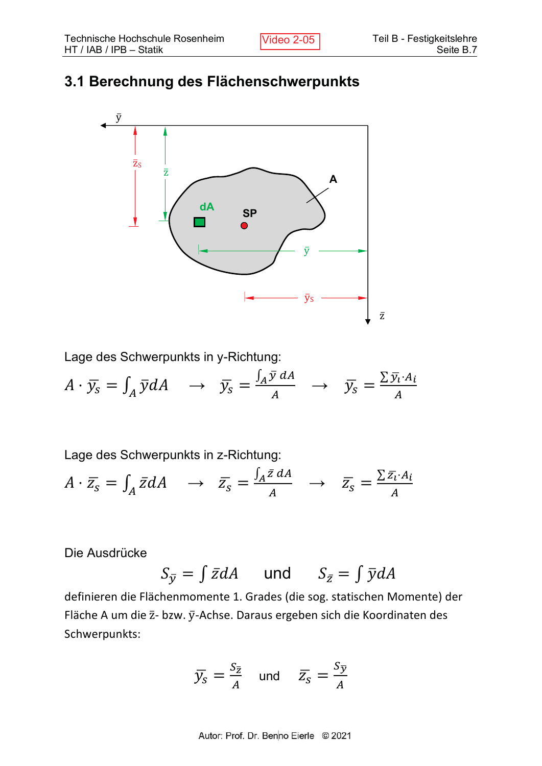# **3.1 Berechnung des Flächenschwerpunkts**



Lage des Schwerpunkts in y-Richtung:

 $A \cdot \overline{y_s} = \int_A \overline{y} dA \rightarrow \overline{y_s} =$  $\int_A \bar{y} dA$  $\frac{\bar{y} dA}{A} \rightarrow \bar{y}_s = \frac{\sum \bar{y}_i \cdot A_i}{A}$  $\overline{A}$ 

Lage des Schwerpunkts in z-Richtung:

$$
A \cdot \overline{z}_s = \int_A \overline{z} dA \quad \rightarrow \quad \overline{z}_s = \frac{\int_A \overline{z} dA}{A} \quad \rightarrow \quad \overline{z}_s = \frac{\sum \overline{z}_i \cdot A_i}{A}
$$

Die Ausdrücke

$$
S_{\bar{y}} = \int \bar{z} dA \quad \text{und} \quad S_{\bar{z}} = \int \bar{y} dA
$$

definieren die Flächenmomente 1. Grades (die sog. statischen Momente) der Fläche A um die z- bzw. y-Achse. Daraus ergeben sich die Koordinaten des Schwerpunkts:

$$
\overline{y_s} = \frac{S_{\overline{z}}}{A} \quad \text{und} \quad \overline{z_s} = \frac{S_{\overline{y}}}{A}
$$

Autor: Prof. Dr. Benno Eierle © 2021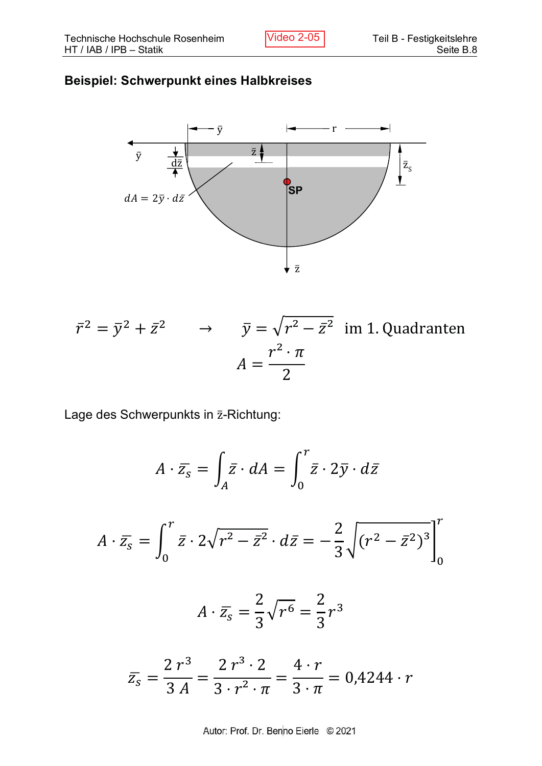#### Beispiel: Schwerpunkt eines Halbkreises



$$
\bar{r}^2 = \bar{y}^2 + \bar{z}^2 \qquad \rightarrow \qquad \bar{y} = \sqrt{r^2 - \bar{z}^2} \quad \text{im 1. Quadranten}
$$
\n
$$
A = \frac{r^2 \cdot \pi}{2}
$$

Lage des Schwerpunkts in z-Richtung:

$$
A \cdot \overline{z}_s = \int_A \overline{z} \cdot dA = \int_0^r \overline{z} \cdot 2\overline{y} \cdot d\overline{z}
$$

$$
A \cdot \bar{z}_s = \int_0^r \bar{z} \cdot 2\sqrt{r^2 - \bar{z}^2} \cdot d\bar{z} = -\frac{2}{3} \sqrt{(r^2 - \bar{z}^2)^3} \Big|_0^r
$$

$$
A \cdot \overline{z_s} = \frac{2}{3} \sqrt{r^6} = \frac{2}{3} r^3
$$

$$
\bar{z}_s = \frac{2 r^3}{3 A} = \frac{2 r^3 \cdot 2}{3 \cdot r^2 \cdot \pi} = \frac{4 \cdot r}{3 \cdot \pi} = 0.4244 \cdot r
$$

Autor: Prof. Dr. Benno Eierle © 2021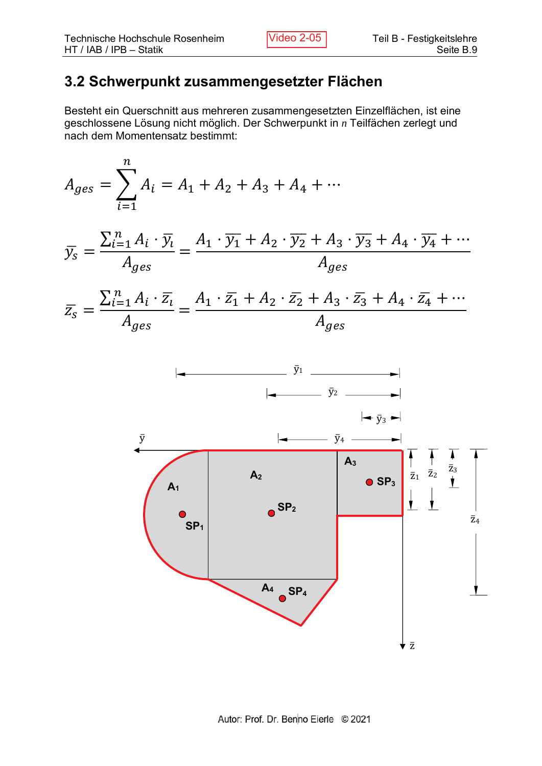### **3.2 Schwerpunkt zusammengesetzter Flächen**

Besteht ein Querschnitt aus mehreren zusammengesetzten Einzelflächen, ist eine geschlossene Lösung nicht möglich. Der Schwerpunkt in *n* Teilfächen zerlegt und nach dem Momentensatz bestimmt:

$$
A_{ges} = \sum_{i=1}^{n} A_i = A_1 + A_2 + A_3 + A_4 + \cdots
$$
  

$$
\overline{y_s} = \frac{\sum_{i=1}^{n} A_i \cdot \overline{y_i}}{A_{ges}} = \frac{A_1 \cdot \overline{y_1} + A_2 \cdot \overline{y_2} + A_3 \cdot \overline{y_3} + A_4 \cdot \overline{y_4} + \cdots}{A_{ges}}
$$
  

$$
\overline{z_s} = \frac{\sum_{i=1}^{n} A_i \cdot \overline{z_i}}{A_{ges}} = \frac{A_1 \cdot \overline{z_1} + A_2 \cdot \overline{z_2} + A_3 \cdot \overline{z_3} + A_4 \cdot \overline{z_4} + \cdots}{A_{ges}}
$$

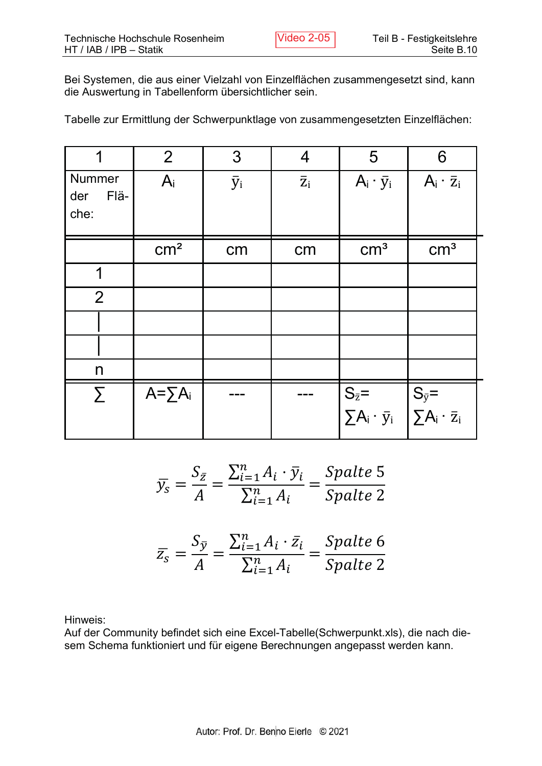Bei Systemen, die aus einer Vielzahl von Einzelflächen zusammengesetzt sind, kann die Auswertung in Tabellenform übersichtlicher sein.

Video 2-05

Tabelle zur Ermittlung der Schwerpunktlage von zusammengesetzten Einzelflächen:

| 1                             | $\overline{2}$  | 3           | 4                | 5                                            | 6                                              |
|-------------------------------|-----------------|-------------|------------------|----------------------------------------------|------------------------------------------------|
| Nummer<br>Flä-<br>der<br>che: | $A_i$           | $\bar{y}_i$ | $\overline{z}_i$ | $A_i \cdot \bar{y}_i$                        | $A_i \cdot \bar{z}_i$                          |
|                               | cm <sup>2</sup> | cm          | cm               | $\text{cm}^3$                                | cm <sup>3</sup>                                |
| 1                             |                 |             |                  |                                              |                                                |
| $\overline{2}$                |                 |             |                  |                                              |                                                |
|                               |                 |             |                  |                                              |                                                |
|                               |                 |             |                  |                                              |                                                |
| $\boldsymbol{n}$              |                 |             |                  |                                              |                                                |
| Σ                             | $A = \sum A_i$  |             |                  | $S_{\bar{z}}=$<br>$\sum A_i \cdot \bar{y}_i$ | $S_{\bar{y}}=$<br>$\Sigma A_i \cdot \bar{z}_i$ |

$$
\bar{y}_s = \frac{S_{\bar{z}}}{A} = \frac{\sum_{i=1}^{n} A_i \cdot \bar{y}_i}{\sum_{i=1}^{n} A_i} = \frac{Spalte \ 5}{Spalte \ 2}
$$

$$
\bar{z_s} = \frac{S_{\bar{y}}}{A} = \frac{\sum_{i=1}^{n} A_i \cdot \bar{z_i}}{\sum_{i=1}^{n} A_i} = \frac{Spalte \ 6}{Spalte \ 2}
$$

Hinweis:

Auf der Community befindet sich eine Excel-Tabelle(Schwerpunkt.xls), die nach diesem Schema funktioniert und für eigene Berechnungen angepasst werden kann.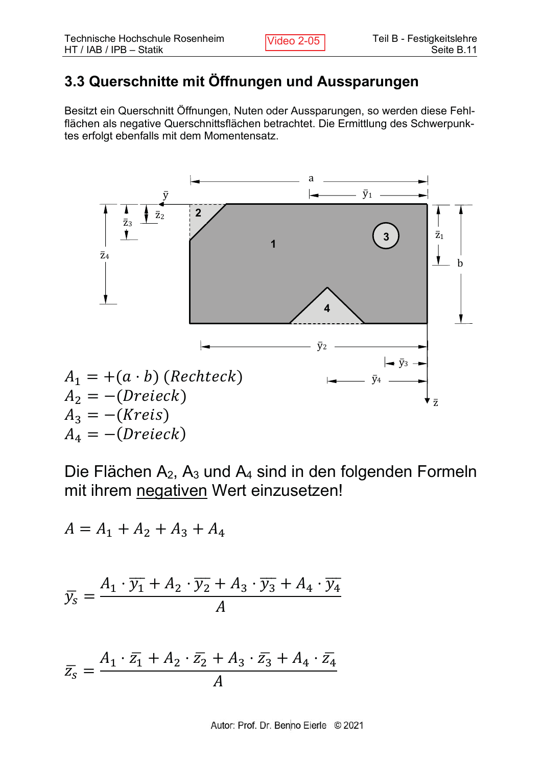### 3.3 Querschnitte mit Öffnungen und Aussparungen

Besitzt ein Querschnitt Öffnungen, Nuten oder Aussparungen, so werden diese Fehlflächen als negative Querschnittsflächen betrachtet. Die Ermittlung des Schwerpunktes erfolgt ebenfalls mit dem Momentensatz.



Die Flächen A<sub>2</sub>, A<sub>3</sub> und A<sub>4</sub> sind in den folgenden Formeln mit ihrem negativen Wert einzusetzen!

$$
A = A_1 + A_2 + A_3 + A_4
$$
  

$$
\overline{y_s} = \frac{A_1 \cdot \overline{y_1} + A_2 \cdot \overline{y_2} + A_3 \cdot \overline{y_3} + A_4 \cdot \overline{y_4}}{A}
$$
  

$$
\overline{z_s} = \frac{A_1 \cdot \overline{z_1} + A_2 \cdot \overline{z_2} + A_3 \cdot \overline{z_3} + A_4 \cdot \overline{z_4}}{A}
$$

Autor: Prof. Dr. Benno Eierle © 2021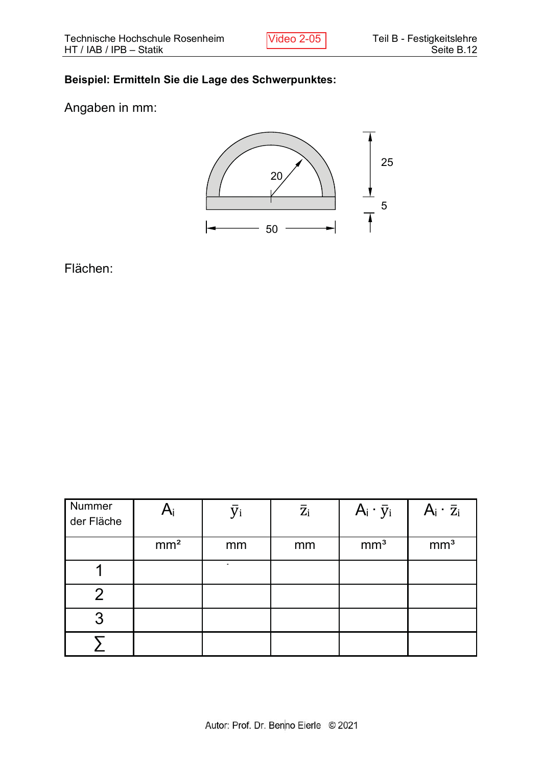#### Beispiel: Ermitteln Sie die Lage des Schwerpunktes:

#### Angaben in mm:



#### Flächen:

| Nummer<br>der Fläche | $A_i$           | <b>y</b> i | $\bar{z}_i$ | $A_i \cdot \bar{y}_i$ | $A_i \cdot \bar{z}_i$ |
|----------------------|-----------------|------------|-------------|-----------------------|-----------------------|
|                      | mm <sup>2</sup> | mm         | mm          | mm <sup>3</sup>       | mm <sup>3</sup>       |
|                      |                 |            |             |                       |                       |
| 2                    |                 |            |             |                       |                       |
| 3                    |                 |            |             |                       |                       |
|                      |                 |            |             |                       |                       |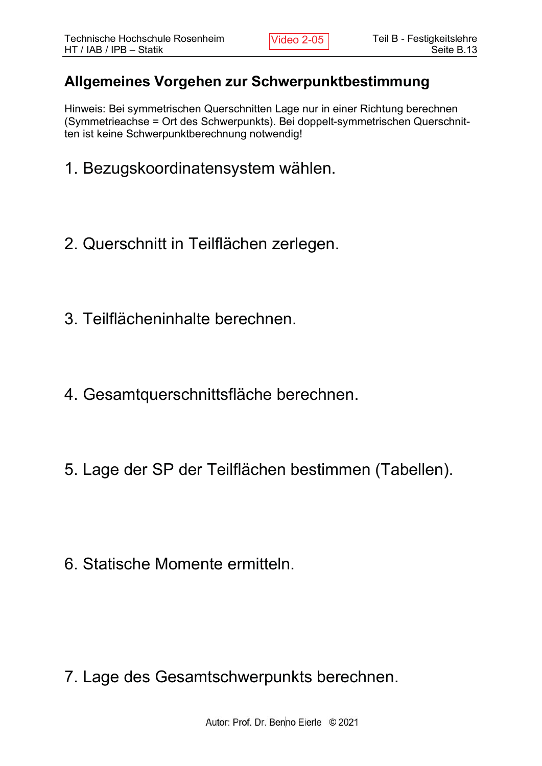#### **Allgemeines Vorgehen zur Schwerpunktbestimmung**

Hinweis: Bei symmetrischen Querschnitten Lage nur in einer Richtung berechnen (Symmetrieachse = Ort des Schwerpunkts). Bei doppelt-symmetrischen Querschnitten ist keine Schwerpunktberechnung notwendig!

- 1. Bezugskoordinatensystem wählen.
- 2. Querschnitt in Teilflächen zerlegen.
- 3. Teilflächeninhalte berechnen.
- 4. Gesamtquerschnittsfläche berechnen.
- 5. Lage der SP der Teilflächen bestimmen (Tabellen).
- 6. Statische Momente ermitteln.

7. Lage des Gesamtschwerpunkts berechnen.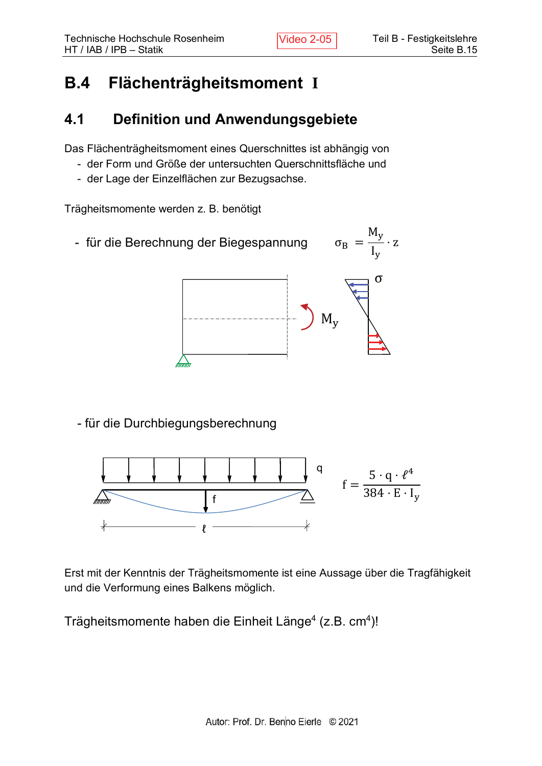# **B.4 Flächenträgheitsmoment I**

#### **Definition und Anwendungsgebiete**

Das Flächenträgheitsmoment eines Querschnittes ist abhängig von

- der Form und Größe der untersuchten Querschnittsfläche und
- der Lage der Einzelflächen zur Bezugsachse.

Trägheitsmomente werden z. B. benötigt



- für die Durchbiegungsberechnung



Erst mit der Kenntnis der Trägheitsmomente ist eine Aussage über die Tragfähigkeit und die Verformung eines Balkens möglich.

Trägheitsmomente haben die Einheit Länge<sup>4</sup> (z.B. cm<sup>4</sup>)!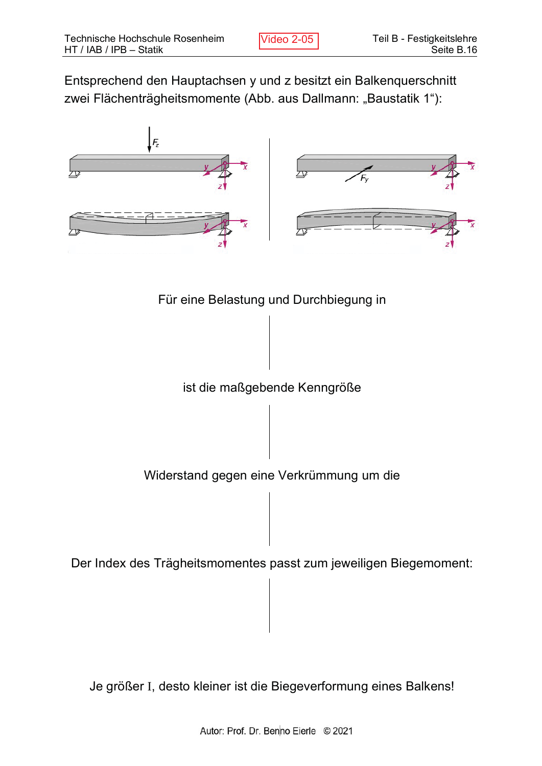Entsprechend den Hauptachsen y und z besitzt ein Balkenquerschnitt zwei Flächenträgheitsmomente (Abb. aus Dallmann: "Baustatik 1"):







Widerstand gegen eine Verkrümmung um die

Der Index des Trägheitsmomentes passt zum jeweiligen Biegemoment:

Je größer I, desto kleiner ist die Biegeverformung eines Balkens!